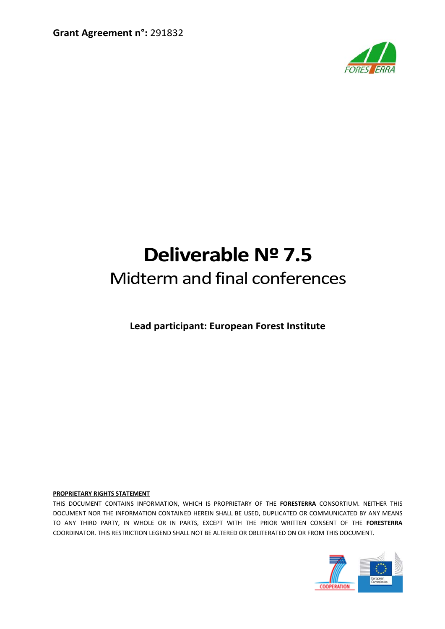

# **Deliverable Nº 7.5** Midtermand final conferences

**Lead participant: European Forest Institute**

#### **PROPRIETARY RIGHTS STATEMENT**

THIS DOCUMENT CONTAINS INFORMATION, WHICH IS PROPRIETARY OF THE **FORESTERRA** CONSORTIUM. NEITHER THIS DOCUMENT NOR THE INFORMATION CONTAINED HEREIN SHALL BE USED, DUPLICATED OR COMMUNICATED BY ANY MEANS TO ANY THIRD PARTY, IN WHOLE OR IN PARTS, EXCEPT WITH THE PRIOR WRITTEN CONSENT OF THE **FORESTERRA** COORDINATOR. THIS RESTRICTION LEGEND SHALL NOT BE ALTERED OR OBLITERATED ON OR FROM THIS DOCUMENT.

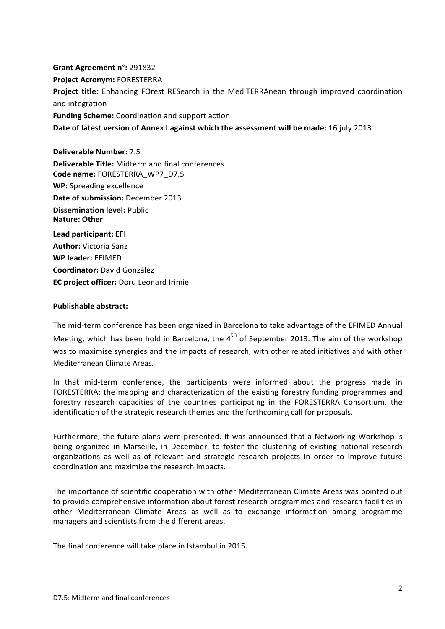**Grant Agreement n°:** 291832 **Project Acronym:** FORESTERRA **Project title:** Enhancing FOrest RESearch in the MediTERRAnean through improved coordination and integration **Funding Scheme:** Coordination and support action **Date of latest version of Annex I against which the assessment will be made:** 16 july 2013

**Deliverable Number:** 7.5 **Deliverable Title:** Midterm and final conferences **Code name:** FORESTERRA\_WP7\_D7.5 **WP:** Spreading excellence **Date of submission:** December 2013 **Dissemination level:** Public **Nature: Other Lead participant:** EFI **Author:** Victoria Sanz **WP leader:** EFIMED **Coordinator:** David González

**EC project officer:** Doru Leonard Irimie

### **Publishable abstract:**

The mid‐term conference has been organized in Barcelona to take advantage of the EFIMED Annual Meeting, which has been hold in Barcelona, the 4<sup>th</sup> of September 2013. The aim of the workshop was to maximise synergies and the impacts of research, with other related initiatives and with other Mediterranean Climate Areas.

In that mid-term conference, the participants were informed about the progress made in FORESTERRA: the mapping and characterization of the existing forestry funding programmes and forestry research capacities of the countries participating in the FORESTERRA Consortium, the identification of the strategic research themes and the forthcoming call for proposals.

Furthermore, the future plans were presented. It was announced that a Networking Workshop is being organized in Marseille, in December, to foster the clustering of existing national research organizations as well as of relevant and strategic research projects in order to improve future coordination and maximize the research impacts.

The importance of scientific cooperation with other Mediterranean Climate Areas was pointed out to provide comprehensive information about forest research programmes and research facilities in other Mediterranean Climate Areas as well as to exchange information among programme managers and scientists from the different areas.

The final conference will take place in Istambul in 2015.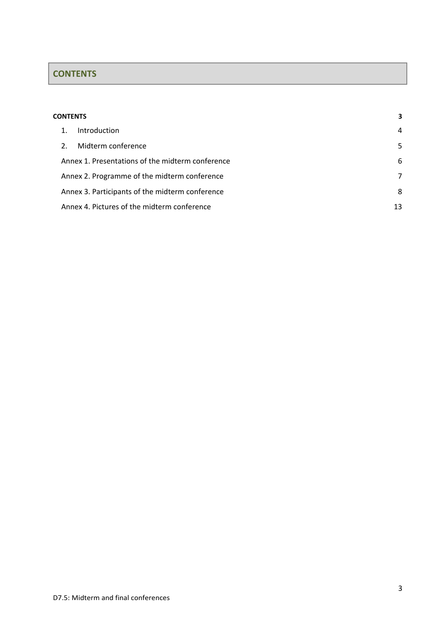# <span id="page-2-0"></span>**CONTENTS**

| <b>CONTENTS</b> |                                                   |                                                  |   |  |
|-----------------|---------------------------------------------------|--------------------------------------------------|---|--|
|                 |                                                   | Introduction                                     | 4 |  |
|                 | 2.                                                | Midterm conference                               | 5 |  |
|                 |                                                   | Annex 1. Presentations of the midterm conference | 6 |  |
|                 |                                                   | Annex 2. Programme of the midterm conference     | 7 |  |
|                 |                                                   | Annex 3. Participants of the midterm conference  | 8 |  |
|                 | Annex 4. Pictures of the midterm conference<br>13 |                                                  |   |  |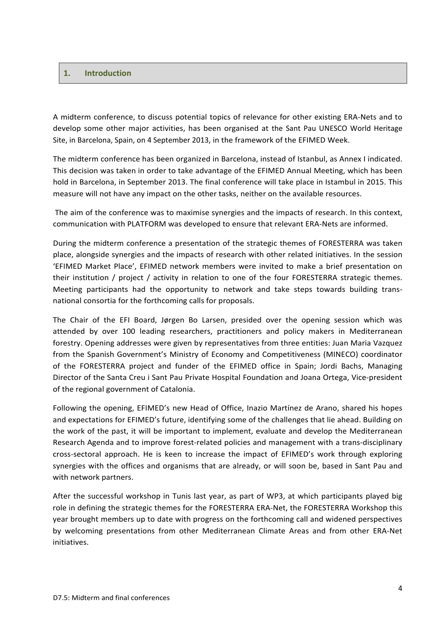# <span id="page-3-0"></span>**1. Introduction**

A midterm conference, to discuss potential topics of relevance for other existing ERA‐Nets and to develop some other major activities, has been organised at the Sant Pau UNESCO World Heritage Site, in Barcelona, Spain, on 4 September 2013, in the framework of the EFIMED Week.

The midterm conference has been organized in Barcelona, instead of Istanbul, as Annex I indicated. This decision was taken in order to take advantage of the EFIMED Annual Meeting, which has been hold in Barcelona, in September 2013. The final conference will take place in Istambul in 2015. This measure will not have any impact on the other tasks, neither on the available resources.

The aim of the conference was to maximise synergies and the impacts of research. In this context, communication with PLATFORM was developed to ensure that relevant ERA‐Nets are informed.

During the midterm conference a presentation of the strategic themes of FORESTERRA was taken place, alongside synergies and the impacts of research with other related initiatives. In the session 'EFIMED Market Place', EFIMED network members were invited to make a brief presentation on their institution / project / activity in relation to one of the four FORESTERRA strategic themes. Meeting participants had the opportunity to network and take steps towards building trans‐ national consortia for the forthcoming calls for proposals.

The Chair of the EFI Board, Jørgen Bo Larsen, presided over the opening session which was attended by over 100 leading researchers, practitioners and policy makers in Mediterranean forestry. Opening addresses were given by representatives from three entities: Juan Maria Vazquez from the Spanish Government's Ministry of Economy and Competitiveness (MINECO) coordinator of the FORESTERRA project and funder of the EFIMED office in Spain; Jordi Bachs, Managing Director of the Santa Creu i Sant Pau Private Hospital Foundation and Joana Ortega, Vice-president of the regional government of Catalonia.

Following the opening, EFIMED's new Head of Office, Inazio Martínez de Arano, shared his hopes and expectations for EFIMED's future, identifying some of the challenges that lie ahead. Building on the work of the past, it will be important to implement, evaluate and develop the Mediterranean Research Agenda and to improve forest-related policies and management with a trans-disciplinary cross‐sectoral approach. He is keen to increase the impact of EFIMED's work through exploring synergies with the offices and organisms that are already, or will soon be, based in Sant Pau and with network partners.

After the successful workshop in Tunis last year, as part of WP3, at which participants played big role in defining the strategic themes for the [FORESTERRA](http://www.foresterra.eu/) ERA‐Net, the FORESTERRA Workshop this year brought members up to date with progress on the forthcoming call and widened perspectives by welcoming presentations from other Mediterranean Climate Areas and from other ERA‐Net initiatives.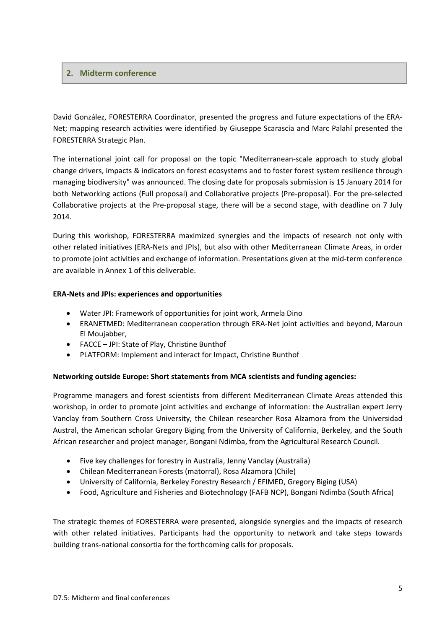# <span id="page-4-0"></span>**2. Midterm conference**

David González, FORESTERRA Coordinator, presented the progress and future expectations of the ERA‐ Net; mapping research activities were identified by Giuseppe Scarascia and Marc Palahí presented the FORESTERRA Strategic Plan.

The international joint call for proposal on the topic "Mediterranean‐scale approach to study global change drivers, impacts & indicators on forest ecosystems and to foster forest system resilience through managing biodiversity" was announced. The closing date for proposals submission is 15 January 2014 for both Networking actions (Full proposal) and Collaborative projects (Pre‐proposal). For the pre‐selected Collaborative projects at the Pre‐proposal stage, there will be a second stage, with deadline on 7 July 2014.

During this workshop, FORESTERRA maximized synergies and the impacts of research not only with other related initiatives (ERA‐Nets and JPIs), but also with other Mediterranean Climate Areas, in order to promote joint activities and exchange of information. Presentations given at the mid‐term conference are available in Annex 1 of this deliverable.

## **ERA‐Nets and JPIs: experiences and opportunities**

- Water JPI: Framework of [opportunities](http://www.efimed.efi.int/files/attachments/efimed/events/am_2013/06._armela_dino.pdf) for joint work, Armela Dino
- ERANETMED: [Mediterranean](http://www.efimed.efi.int/files/attachments/efimed/events/am_2013/07._moujabber.pdf) cooperation through ERA‐Net joint activities and beyond, Maroun El Moujabber,
- [FACCE](http://www.efimed.efi.int/files/attachments/efimed/events/am_2013/08a.mckhann.pdf) JPI: State of Play, Christine Bunthof
- PLATFORM: [Implement](http://www.efimed.efi.int/files/attachments/efimed/events/am_2013/08b.bunthof.pdf) and interact for Impact, Christine Bunthof

## **Networking outside Europe: Short statements from MCA scientists and funding agencies:**

Programme managers and forest scientists from different Mediterranean Climate Areas attended this workshop, in order to promote joint activities and exchange of information: the Australian expert Jerry Vanclay from Southern Cross University, the Chilean researcher Rosa Alzamora from the Universidad Austral, the American scholar Gregory Biging from the University of California, Berkeley, and the South African researcher and project manager, Bongani Ndimba, from the Agricultural Research Council.

- Five key [challenges](http://www.efimed.efi.int/files/attachments/efimed/events/am_2013/09.vanclay.pdf) for forestry in Australia, Jenny Vanclay (Australia)
- Chilean [Mediterranean](http://www.efimed.efi.int/files/attachments/efimed/events/am_2013/10.alzamora.pdf) Forests (matorral), Rosa Alzamora (Chile)
- University of [California,](http://www.efimed.efi.int/files/attachments/efimed/events/am_2013/11.biging.pdf) Berkeley Forestry Research / EFIMED, Gregory Biging (USA)
- Food, Agriculture and Fisheries and [Biotechnology](http://www.efimed.efi.int/files/attachments/efimed/events/am_2013/12.bongani.pdf) (FAFB NCP), Bongani Ndimba (South Africa)

The strategic themes of FORESTERRA were presented, alongside synergies and the impacts of research with other related initiatives. Participants had the opportunity to network and take steps towards building trans‐national consortia for the forthcoming calls for proposals.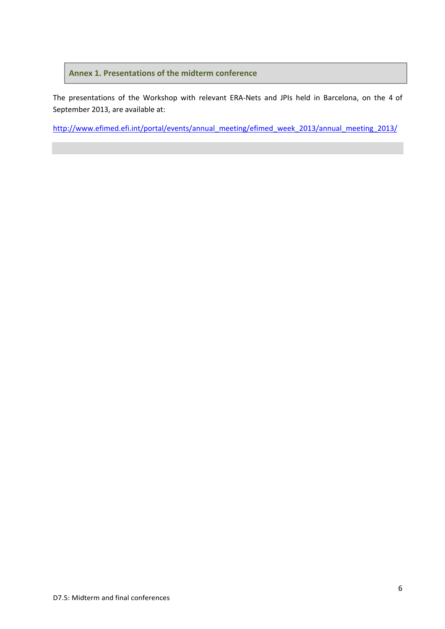# <span id="page-5-0"></span>**Annex 1. Presentations of the midterm conference**

The presentations of the Workshop with relevant ERA‐Nets and JPIs held in Barcelona, on the 4 of September 2013, are available at:

[http://www.efimed.efi.int/portal/events/annual\\_meeting/efimed\\_week\\_2013/annual\\_meeting\\_2013/](http://www.efimed.efi.int/portal/events/annual_meeting/efimed_week_2013/annual_meeting_2013/)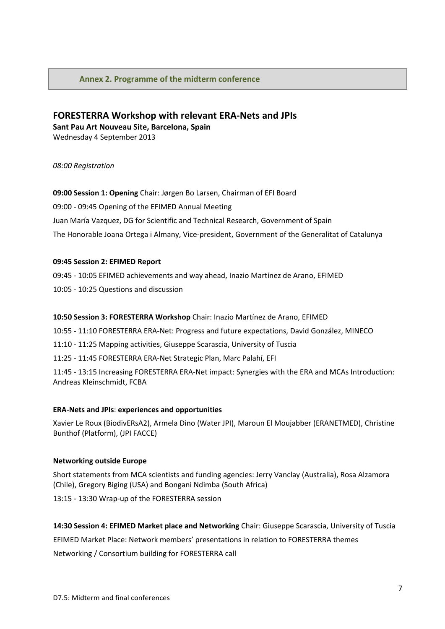# <span id="page-6-0"></span>**Annex 2. Programme of the midterm conference**

# **FORESTERRA Workshop with relevant ERA‐Nets and JPIs Sant Pau Art Nouveau Site, Barcelona, Spain**

Wednesday 4 September 2013

### *08:00 Registration*

**09:00 Session 1: Opening** Chair: Jørgen Bo Larsen, Chairman of EFI Board 09:00 ‐ 09:45 Opening of the EFIMED Annual Meeting Juan María Vazquez, DG for Scientific and Technical Research, Government of Spain The Honorable Joana Ortega i Almany, Vice-president, Government of the Generalitat of Catalunya

### **09:45 Session 2: EFIMED Report**

09:45 ‐ 10:05 EFIMED achievements and way ahead, Inazio Martínez de Arano, EFIMED 10:05 ‐ 10:25 Questions and discussion

#### **10:50 Session 3: FORESTERRA Workshop** Chair: Inazio Martínez de Arano, EFIMED

10:55 ‐ 11:10 FORESTERRA ERA‐Net: Progress and future expectations, David González, MINECO

11:10 ‐ 11:25 Mapping activities, Giuseppe Scarascia, University of Tuscia

11:25 ‐ 11:45 FORESTERRA ERA‐Net Strategic Plan, Marc Palahí, EFI

11:45 ‐ 13:15 Increasing FORESTERRA ERA‐Net impact: Synergies with the ERA and MCAs Introduction: Andreas Kleinschmidt, FCBA

#### **ERA‐Nets and JPIs**: **experiences and opportunities**

Xavier Le Roux (BiodivERsA2), Armela Dino (Water JPI), Maroun El Moujabber (ERANETMED), Christine Bunthof (Platform), (JPI FACCE)

#### **Networking outside Europe**

Short statements from MCA scientists and funding agencies: Jerry Vanclay (Australia), Rosa Alzamora (Chile), Gregory Biging (USA) and Bongani Ndimba (South Africa)

13:15 ‐ 13:30 Wrap‐up of the FORESTERRA session

**14:30 Session 4: EFIMED Market place and Networking** Chair: Giuseppe Scarascia, University of Tuscia EFIMED Market Place: Network members' presentations in relation to FORESTERRA themes Networking / Consortium building for FORESTERRA call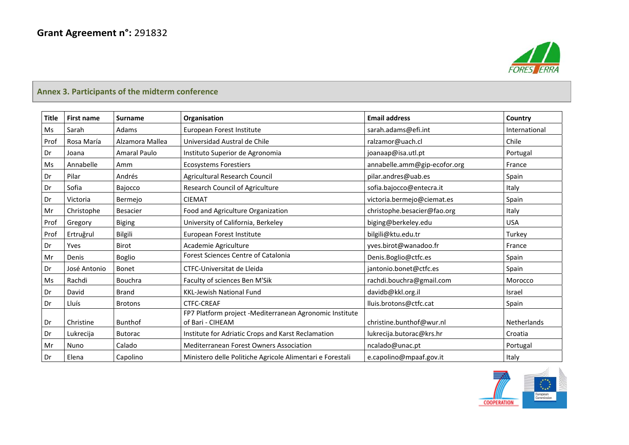

# **Annex 3. Participants of the midterm conference**

<span id="page-7-0"></span>

| <b>Title</b> | <b>First name</b> | <b>Surname</b>      | Organisation                                                                | <b>Email address</b>         | Country       |
|--------------|-------------------|---------------------|-----------------------------------------------------------------------------|------------------------------|---------------|
| Ms           | Sarah             | Adams               | European Forest Institute                                                   | sarah.adams@efi.int          | International |
| Prof         | Rosa María        | Alzamora Mallea     | Universidad Austral de Chile                                                | ralzamor@uach.cl             | Chile         |
| Dr           | Joana             | <b>Amaral Paulo</b> | Instituto Superior de Agronomia                                             | joanaap@isa.utl.pt           | Portugal      |
| Ms           | Annabelle         | Amm                 | <b>Ecosystems Forestiers</b>                                                | annabelle.amm@gip-ecofor.org | France        |
| Dr           | Pilar             | Andrés              | Agricultural Research Council                                               | pilar.andres@uab.es          | Spain         |
| Dr           | Sofia             | Bajocco             | Research Council of Agriculture                                             | sofia.bajocco@entecra.it     | Italy         |
| Dr           | Victoria          | Bermejo             | <b>CIEMAT</b>                                                               | victoria.bermejo@ciemat.es   | Spain         |
| Mr           | Christophe        | Besacier            | Food and Agriculture Organization                                           | christophe.besacier@fao.org  | Italy         |
| Prof         | Gregory           | <b>Biging</b>       | University of California, Berkeley                                          | biging@berkeley.edu          | <b>USA</b>    |
| Prof         | Ertruğrul         | Bilgili             | European Forest Institute                                                   | bilgili@ktu.edu.tr           | Turkey        |
| Dr           | Yves              | Birot               | Academie Agriculture                                                        | yves.birot@wanadoo.fr        | France        |
| Mr           | Denis             | <b>Boglio</b>       | Forest Sciences Centre of Catalonia                                         | Denis.Boglio@ctfc.es         | Spain         |
| Dr           | José Antonio      | Bonet               | <b>CTFC-Universitat de Lleida</b>                                           | jantonio.bonet@ctfc.es       | Spain         |
| Ms           | Rachdi            | <b>Bouchra</b>      | Faculty of sciences Ben M'Sik                                               | rachdi.bouchra@gmail.com     | Morocco       |
| Dr           | David             | <b>Brand</b>        | <b>KKL-Jewish National Fund</b>                                             | davidb@kkl.org.il            | <b>Israel</b> |
| Dr           | Lluís             | <b>Brotons</b>      | <b>CTFC-CREAF</b>                                                           | lluis.brotons@ctfc.cat       | Spain         |
| Dr           | Christine         | <b>Bunthof</b>      | FP7 Platform project -Mediterranean Agronomic Institute<br>of Bari - CIHEAM | christine.bunthof@wur.nl     | Netherlands   |
| Dr           | Lukrecija         | <b>Butorac</b>      | Institute for Adriatic Crops and Karst Reclamation                          | lukrecija.butorac@krs.hr     | Croatia       |
| Mr           | Nuno              | Calado              | Mediterranean Forest Owners Association                                     | ncalado@unac.pt              | Portugal      |
| Dr           | Elena             | Capolino            | Ministero delle Politiche Agricole Alimentari e Forestali                   | e.capolino@mpaaf.gov.it      | Italy         |

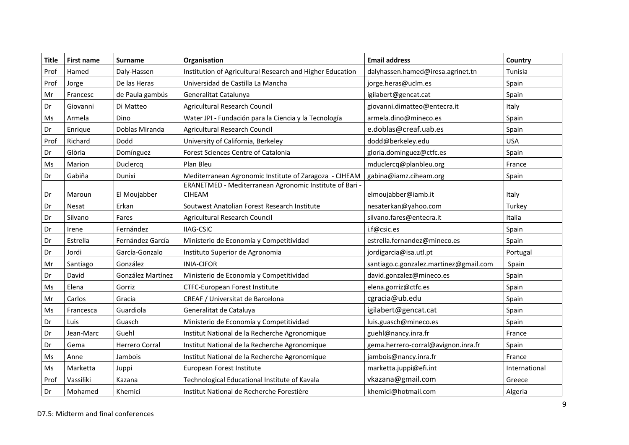| <b>Title</b> | <b>First name</b> | <b>Surname</b>    | Organisation                                                             | <b>Email address</b>                   | Country       |
|--------------|-------------------|-------------------|--------------------------------------------------------------------------|----------------------------------------|---------------|
| Prof         | Hamed             | Daly-Hassen       | Institution of Agricultural Research and Higher Education                | dalyhassen.hamed@iresa.agrinet.tn      | Tunisia       |
| Prof         | Jorge             | De las Heras      | Universidad de Castilla La Mancha                                        | jorge.heras@uclm.es                    | Spain         |
| Mr           | Francesc          | de Paula gambús   | Generalitat Catalunya                                                    | igilabert@gencat.cat                   | Spain         |
| Dr           | Giovanni          | Di Matteo         | <b>Agricultural Research Council</b>                                     | giovanni.dimatteo@entecra.it           | Italy         |
| Ms           | Armela            | Dino              | Water JPI - Fundación para la Ciencia y la Tecnología                    | armela.dino@mineco.es                  | Spain         |
| Dr           | Enrique           | Doblas Miranda    | <b>Agricultural Research Council</b>                                     | e.doblas@creaf.uab.es                  | Spain         |
| Prof         | Richard           | Dodd              | University of California, Berkeley                                       | dodd@berkeley.edu                      | <b>USA</b>    |
| Dr           | Glòria            | Domínguez         | Forest Sciences Centre of Catalonia                                      | gloria.dominguez@ctfc.es               | Spain         |
| Ms           | Marion            | Duclercq          | Plan Bleu                                                                | mduclercq@planbleu.org                 | France        |
| Dr           | Gabiña            | Dunixi            | Mediterranean Agronomic Institute of Zaragoza - CIHEAM                   | gabina@iamz.ciheam.org                 | Spain         |
| Dr           | Maroun            | El Moujabber      | ERANETMED - Mediterranean Agronomic Institute of Bari -<br><b>CIHEAM</b> | elmoujabber@iamb.it                    | Italy         |
| Dr           | Nesat             | Erkan             | Soutwest Anatolian Forest Research Institute                             | nesaterkan@yahoo.com                   | Turkey        |
| Dr           | Silvano           | Fares             | Agricultural Research Council                                            | silvano.fares@entecra.it               | Italia        |
| Dr           | Irene             | Fernández         | <b>IIAG-CSIC</b>                                                         | i.f@csic.es                            | Spain         |
| Dr           | Estrella          | Fernández García  | Ministerio de Economía y Competitividad                                  | estrella.fernandez@mineco.es           | Spain         |
| Dr           | Jordi             | García-Gonzalo    | Instituto Superior de Agronomia                                          | jordigarcia@isa.utl.pt                 | Portugal      |
| Mr           | Santiago          | González          | <b>INIA-CIFOR</b>                                                        | santiago.c.gonzalez.martinez@gmail.com | Spain         |
| Dr           | David             | González Martínez | Ministerio de Economía y Competitividad                                  | david.gonzalez@mineco.es               | Spain         |
| Ms           | Elena             | Gorriz            | CTFC-European Forest Institute                                           | elena.gorriz@ctfc.es                   | Spain         |
| Mr           | Carlos            | Gracia            | CREAF / Universitat de Barcelona                                         | cgracia@ub.edu                         | Spain         |
| Ms           | Francesca         | Guardiola         | Generalitat de Cataluya                                                  | igilabert@gencat.cat                   | Spain         |
| Dr           | Luis              | Guasch            | Ministerio de Economía y Competitividad                                  | luis.guasch@mineco.es                  | Spain         |
| Dr           | Jean-Marc         | Guehl             | Institut National de la Recherche Agronomique                            | guehl@nancy.inra.fr                    | France        |
| Dr           | Gema              | Herrero Corral    | Institut National de la Recherche Agronomique                            | gema.herrero-corral@avignon.inra.fr    | Spain         |
| Ms           | Anne              | Jambois           | Institut National de la Recherche Agronomique                            | jambois@nancy.inra.fr                  | France        |
| Ms           | Marketta          | Juppi             | European Forest Institute                                                | marketta.juppi@efi.int                 | International |
| Prof         | Vassiliki         | Kazana            | Technological Educational Institute of Kavala                            | vkazana@gmail.com                      | Greece        |
| Dr           | Mohamed           | Khemici           | Institut National de Recherche Forestière                                | khemici@hotmail.com                    | Algeria       |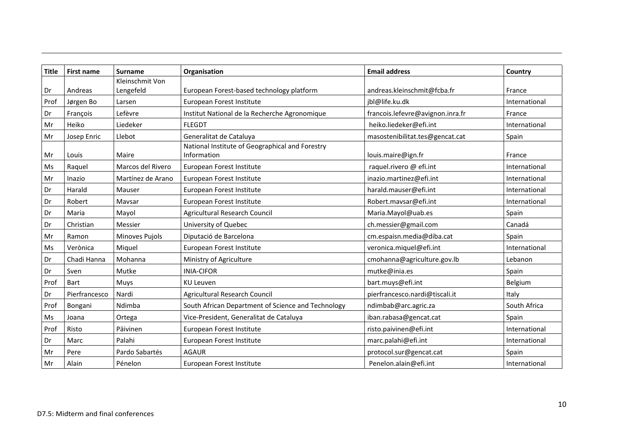| <b>Title</b> | <b>First name</b> | <b>Surname</b>                                                       | Organisation                                                   | <b>Email address</b>             | Country       |
|--------------|-------------------|----------------------------------------------------------------------|----------------------------------------------------------------|----------------------------------|---------------|
|              |                   | Kleinschmit Von                                                      |                                                                |                                  |               |
| Dr           | Andreas           | Lengefeld                                                            | European Forest-based technology platform                      | andreas.kleinschmit@fcba.fr      | France        |
| Prof         | Jørgen Bo         | Larsen                                                               | European Forest Institute                                      | jbl@life.ku.dk                   | International |
| Dr           | Francois          | Lefèvre                                                              | Institut National de la Recherche Agronomique                  | francois.lefevre@avignon.inra.fr | France        |
| Mr           | Heiko             | Liedeker                                                             | <b>FLEGDT</b>                                                  | heiko.liedeker@efi.int           | International |
| Mr           | Josep Enric       | Llebot<br>Generalitat de Cataluya<br>masostenibilitat.tes@gencat.cat |                                                                | Spain                            |               |
| Mr           | Louis             | Maire                                                                | National Institute of Geographical and Forestry<br>Information | louis.maire@ign.fr               | France        |
| Ms           | Raquel            | Marcos del Rivero                                                    | European Forest Institute                                      | raquel.rivero @ efi.int          | International |
| Mr           | Inazio            | Martínez de Arano                                                    | European Forest Institute                                      | inazio.martinez@efi.int          | International |
| Dr           | Harald            | Mauser                                                               | European Forest Institute                                      | harald.mauser@efi.int            | International |
| Dr           | Robert            | Mavsar                                                               | European Forest Institute                                      | Robert.mavsar@efi.int            | International |
| Dr           | Maria             | Mayol                                                                | <b>Agricultural Research Council</b>                           | Maria.Mayol@uab.es               | Spain         |
| Dr           | Christian         | Messier                                                              | University of Quebec                                           | ch.messier@gmail.com             | Canadá        |
| Mr           | Ramon             | Minoves Pujols                                                       | Diputació de Barcelona                                         | cm.espaisn.media@diba.cat        | Spain         |
| Ms           | Verònica          | Miquel                                                               | European Forest Institute                                      | veronica.miquel@efi.int          | International |
| Dr           | Chadi Hanna       | Mohanna                                                              | Ministry of Agriculture                                        | cmohanna@agriculture.gov.lb      | Lebanon       |
| Dr           | Sven              | Mutke                                                                | <b>INIA-CIFOR</b>                                              | mutke@inia.es                    | Spain         |
| Prof         | Bart              | Muys                                                                 | <b>KU Leuven</b>                                               | bart.muys@efi.int                | Belgium       |
| Dr           | Pierfrancesco     | Nardi                                                                | <b>Agricultural Research Council</b>                           | pierfrancesco.nardi@tiscali.it   | Italy         |
| Prof         | Bongani           | Ndimba                                                               | South African Department of Science and Technology             | ndimbab@arc.agric.za             | South Africa  |
| Ms           | Joana             | Ortega                                                               | Vice-President, Generalitat de Cataluya                        | iban.rabasa@gencat.cat           | Spain         |
| Prof         | Risto             | Päivinen                                                             | European Forest Institute                                      | risto.paivinen@efi.int           | International |
| Dr           | Marc              | Palahi                                                               | European Forest Institute                                      | marc.palahi@efi.int              | International |
| Mr           | Pere              | Pardo Sabartés<br><b>AGAUR</b><br>protocol.sur@gencat.cat            |                                                                |                                  | Spain         |
| Mr           | Alain             | Pénelon                                                              | European Forest Institute                                      | Penelon.alain@efi.int            | International |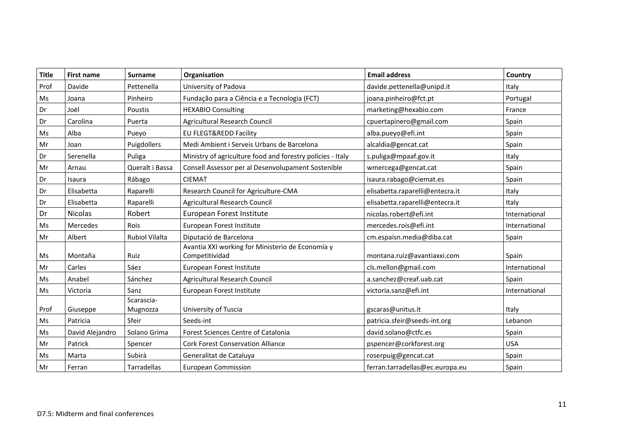| <b>Title</b> | <b>First name</b>                                                     | <b>Surname</b>                                                   | Organisation                                                       | <b>Email address</b>            | Country       |
|--------------|-----------------------------------------------------------------------|------------------------------------------------------------------|--------------------------------------------------------------------|---------------------------------|---------------|
| Prof         | Davide                                                                | Pettenella<br>University of Padova<br>davide.pettenella@unipd.it |                                                                    |                                 | Italy         |
| Ms           | Joana                                                                 | Pinheiro                                                         | Fundação para a Ciência e a Tecnologia (FCT)                       | joana.pinheiro@fct.pt           | Portugal      |
| Dr           | Joël<br><b>HEXABIO Consulting</b><br>marketing@hexabio.com<br>Poustis |                                                                  |                                                                    | France                          |               |
| Dr           | Carolina                                                              | Puerta                                                           | Agricultural Research Council                                      | cpuertapinero@gmail.com         | Spain         |
| Ms           | Alba                                                                  | Pueyo                                                            | <b>EU FLEGT&amp;REDD Facility</b>                                  | alba.pueyo@efi.int              | Spain         |
| Mr           | Joan                                                                  | Puigdollers                                                      | Medi Ambient i Serveis Urbans de Barcelona                         | alcaldia@gencat.cat             | Spain         |
| Dr           | Serenella                                                             | Puliga                                                           | Ministry of agriculture food and forestry policies - Italy         | s.puliga@mpaaf.gov.it           | Italy         |
| Mr           | Arnau                                                                 | Queralt i Bassa                                                  | Consell Assessor per al Desenvolupament Sostenible                 | wmercega@gencat.cat             | Spain         |
| Dr           | Isaura                                                                | Rábago                                                           | <b>CIEMAT</b>                                                      | isaura.rabago@ciemat.es         | Spain         |
| Dr           | Elisabetta                                                            | Raparelli                                                        | Research Council for Agriculture-CMA                               | elisabetta.raparelli@entecra.it | Italy         |
| Dr           | Elisabetta                                                            | Raparelli                                                        | Agricultural Research Council                                      | elisabetta.raparelli@entecra.it | Italy         |
| Dr           | <b>Nicolas</b>                                                        | Robert                                                           | European Forest Institute                                          | nicolas.robert@efi.int          | International |
| Ms           | Mercedes                                                              | Rois                                                             | European Forest Institute                                          | mercedes.rois@efi.int           | International |
| Mr           | Albert                                                                | <b>Rubiol Vilalta</b>                                            | Diputació de Barcelona                                             | cm.espaisn.media@diba.cat       | Spain         |
| Ms           | Montaña                                                               | Ruiz                                                             | Avantia XXI working for Ministerio de Economía y<br>Competitividad | montana.ruiz@avantiaxxi.com     | Spain         |
| Mr           | Carles                                                                | Sáez                                                             | European Forest Institute                                          | cls.mellon@gmail.com            | International |
| Ms           | Anabel                                                                | Sánchez                                                          | Agricultural Research Council                                      | a.sanchez@creaf.uab.cat         | Spain         |
| Ms           | Victoria                                                              | Sanz                                                             | European Forest Institute                                          | victoria.sanz@efi.int           | International |
| Prof         | Giuseppe                                                              | Scarascia-<br>Mugnozza                                           | University of Tuscia                                               | gscaras@unitus.it               | Italy         |
| Ms           | Patricia                                                              | Sfeir                                                            | Seeds-int                                                          | patricia.sfeir@seeds-int.org    | Lebanon       |
| Ms           | David Alejandro                                                       | Solano Grima                                                     | <b>Forest Sciences Centre of Catalonia</b>                         | david.solano@ctfc.es            | Spain         |
| Mr           | Patrick                                                               | Spencer                                                          | <b>Cork Forest Conservation Alliance</b>                           | pspencer@corkforest.org         | <b>USA</b>    |
| Ms           | Marta                                                                 | Subirà                                                           | Generalitat de Cataluya                                            | roserpuig@gencat.cat            | Spain         |
| Mr           | Ferran                                                                | <b>Tarradellas</b>                                               | <b>European Commission</b>                                         | ferran.tarradellas@ec.europa.eu | Spain         |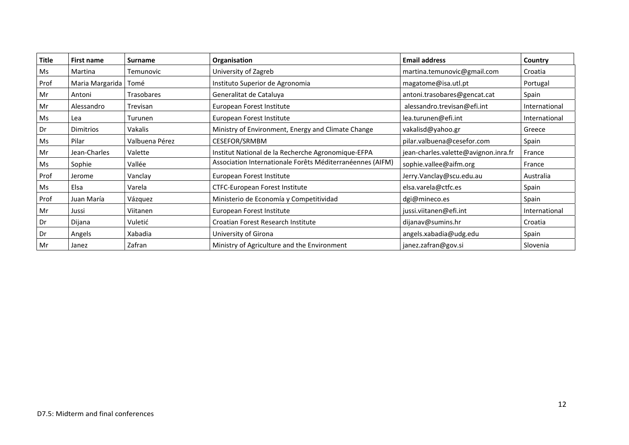| <b>Title</b> | First name       | <b>Surname</b> | Organisation                                              | <b>Email address</b>                 | Country       |
|--------------|------------------|----------------|-----------------------------------------------------------|--------------------------------------|---------------|
| Ms           | Martina          | Temunovic      | University of Zagreb                                      | martina.temunovic@gmail.com          | Croatia       |
| Prof         | Maria Margarida  | Tomé           | Instituto Superior de Agronomia                           | magatome@isa.utl.pt                  | Portugal      |
| Mr           | Antoni           | Trasobares     | Generalitat de Cataluya                                   | antoni.trasobares@gencat.cat         | Spain         |
| Mr           | Alessandro       | Trevisan       | European Forest Institute                                 | alessandro.trevisan@efi.int          | International |
| Ms           | Lea              | Turunen        | European Forest Institute                                 | lea.turunen@efi.int                  | International |
| Dr           | <b>Dimitrios</b> | Vakalis        | Ministry of Environment, Energy and Climate Change        | vakalisd@yahoo.gr                    | Greece        |
| Ms           | Pilar            | Valbuena Pérez | CESEFOR/SRMBM                                             | pilar.valbuena@cesefor.com           | Spain         |
| Mr           | Jean-Charles     | Valette        | Institut National de la Recherche Agronomique-EFPA        | jean-charles.valette@avignon.inra.fr | France        |
| Ms           | Sophie           | Vallée         | Association Internationale Forêts Méditerranéennes (AIFM) | sophie.vallee@aifm.org               | France        |
| Prof         | Jerome           | Vanclay        | European Forest Institute                                 | Jerry.Vanclay@scu.edu.au             | Australia     |
| Ms           | Elsa             | Varela         | <b>CTFC-European Forest Institute</b>                     | elsa.varela@ctfc.es                  | Spain         |
| Prof         | Juan María       | Vázquez        | Ministerio de Economía y Competitividad                   | dgi@mineco.es                        | Spain         |
| Mr           | Jussi            | Viitanen       | European Forest Institute                                 | jussi.viitanen@efi.int               | International |
| Dr           | Dijana           | Vuletić        | Croatian Forest Research Institute                        | dijanav@sumins.hr                    | Croatia       |
| Dr           | Angels           | Xabadia        | University of Girona                                      | angels.xabadia@udg.edu               | Spain         |
| Mr           | Janez            | Zafran         | Ministry of Agriculture and the Environment               | janez.zafran@gov.si                  | Slovenia      |